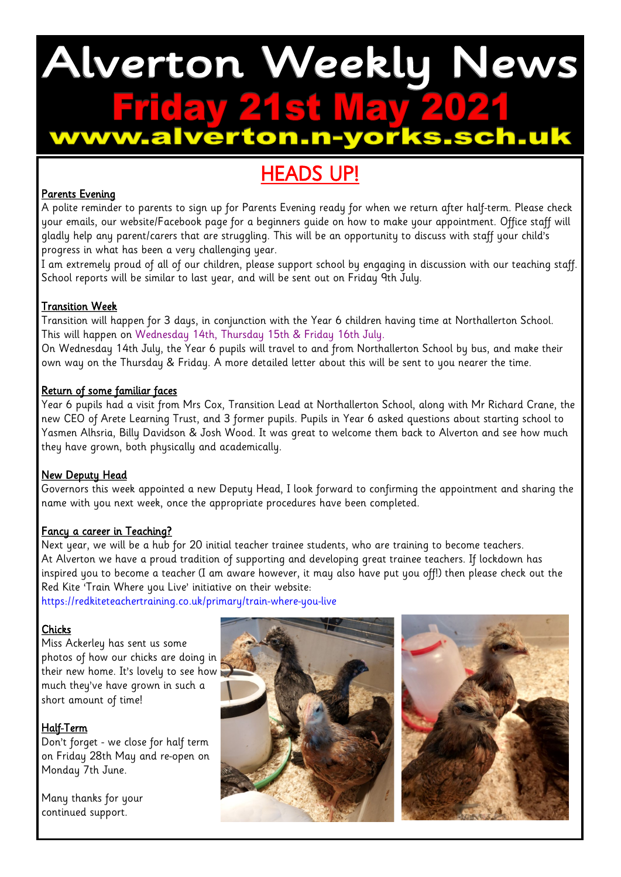### Alverton Weekly News h.uk .n-v  $\bullet$

### HEADS UP!

#### Parents Evening

A polite reminder to parents to sign up for Parents Evening ready for when we return after half-term. Please check your emails, our website/Facebook page for a beginners guide on how to make your appointment. Office staff will gladly help any parent/carers that are struggling. This will be an opportunity to discuss with staff your child's progress in what has been a very challenging year.

I am extremely proud of all of our children, please support school by engaging in discussion with our teaching staff. School reports will be similar to last year, and will be sent out on Friday 9th July.

#### Transition Week

Transition will happen for 3 days, in conjunction with the Year 6 children having time at Northallerton School. This will happen on Wednesday 14th, Thursday 15th & Friday 16th July.

On Wednesday 14th July, the Year 6 pupils will travel to and from Northallerton School by bus, and make their own way on the Thursday & Friday. A more detailed letter about this will be sent to you nearer the time.

#### Return of some familiar faces

Year 6 pupils had a visit from Mrs Cox, Transition Lead at Northallerton School, along with Mr Richard Crane, the new CEO of Arete Learning Trust, and 3 former pupils. Pupils in Year 6 asked questions about starting school to Yasmen Alhsria, Billy Davidson & Josh Wood. It was great to welcome them back to Alverton and see how much they have grown, both physically and academically.

#### New Deputy Head

Governors this week appointed a new Deputy Head, I look forward to confirming the appointment and sharing the name with you next week, once the appropriate procedures have been completed.

#### Fancy a career in Teaching?

Next year, we will be a hub for 20 initial teacher trainee students, who are training to become teachers. At Alverton we have a proud tradition of supporting and developing great trainee teachers. If lockdown has inspired you to become a teacher (I am aware however, it may also have put you off!) then please check out the Red Kite 'Train Where you Live' initiative on their website:

https://redkiteteachertraining.co.uk/primary/train-where-you-live

#### **Chicks**

Miss Ackerley has sent us some photos of how our chicks are doing in their new home. It's lovely to see how much they've have grown in such a short amount of time!

#### Half-Term

Don't forget - we close for half term on Friday 28th May and re-open on Monday 7th June.

Many thanks for your continued support.

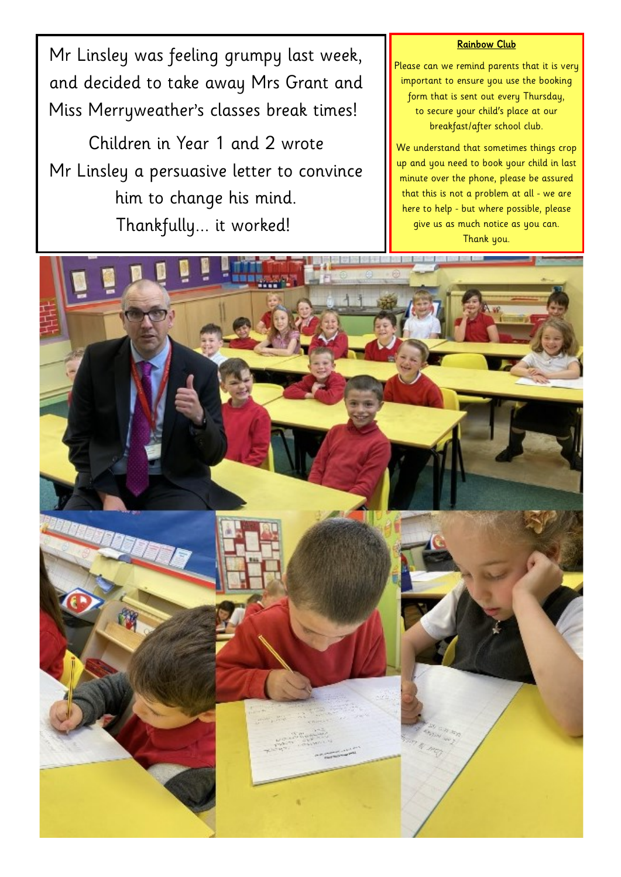Mr Linsley was feeling grumpy last week, and decided to take away Mrs Grant and Miss Merryweather's classes break times!

Children in Year 1 and 2 wrote Mr Linsley a persuasive letter to convince him to change his mind. Thankfully... it worked!

#### Rainbow Club

Please can we remind parents that it is very important to ensure you use the booking form that is sent out every Thursday, to secure your child's place at our breakfast/after school club.

We understand that sometimes things crop up and you need to book your child in last minute over the phone, please be assured that this is not a problem at all - we are here to help - but where possible, please give us as much notice as you can. Thank you.

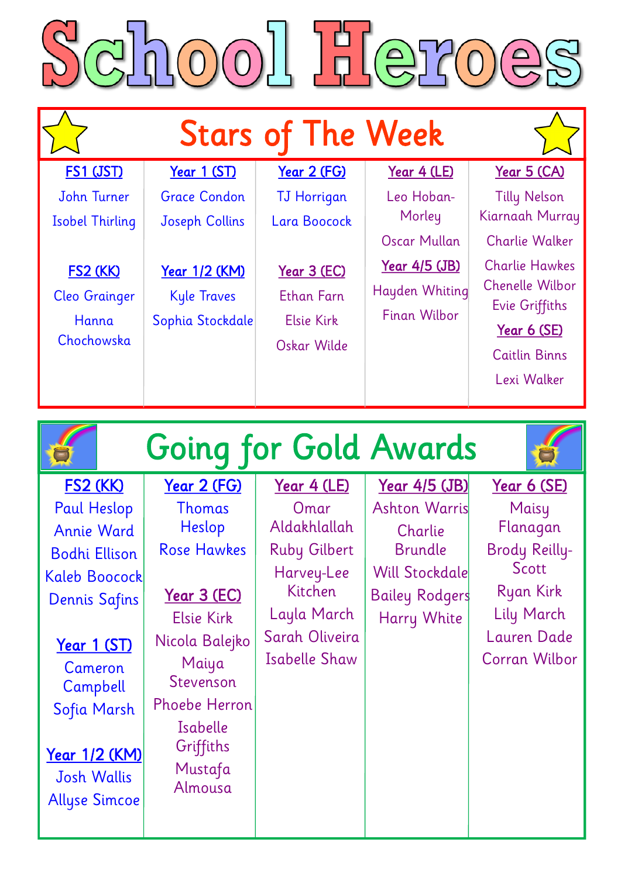| $\text{GInool}$ Heroes                                                                                                                                                                                                                                         |                                                                                                                                                                                                                                 |                                                                                                                                                      |                                                                                                                                             |                                                                                                                                            |
|----------------------------------------------------------------------------------------------------------------------------------------------------------------------------------------------------------------------------------------------------------------|---------------------------------------------------------------------------------------------------------------------------------------------------------------------------------------------------------------------------------|------------------------------------------------------------------------------------------------------------------------------------------------------|---------------------------------------------------------------------------------------------------------------------------------------------|--------------------------------------------------------------------------------------------------------------------------------------------|
| <b>FS1 (JST)</b>                                                                                                                                                                                                                                               | Year 1 (ST)                                                                                                                                                                                                                     | <b>Stars of The Week</b><br>Year 2 (FG)                                                                                                              | Year 4 (LE)                                                                                                                                 | Year 5 (CA)                                                                                                                                |
| John Turner<br><b>Isobel Thirling</b>                                                                                                                                                                                                                          | <b>Grace Condon</b><br><b>Joseph Collins</b>                                                                                                                                                                                    | <b>TJ Horrigan</b><br>Lara Boocock                                                                                                                   | Leo Hoban-<br>Morley<br><b>Oscar Mullan</b>                                                                                                 | <b>Tilly Nelson</b><br>Kiarnaah Murray<br><b>Charlie Walker</b>                                                                            |
| <b>FS2 (KK)</b><br><b>Cleo Grainger</b><br>Hanna<br>Chochowska                                                                                                                                                                                                 | Year 1/2 (KM)<br><b>Kyle Traves</b><br>Sophia Stockdale                                                                                                                                                                         | Year 3 (EC)<br><b>Ethan Farn</b><br><b>Elsie Kirk</b><br>Oskar Wilde                                                                                 | Year 4/5 (JB)<br>Hayden Whiting<br><b>Finan Wilbor</b>                                                                                      | <b>Charlie Hawkes</b><br><b>Chenelle Wilbor</b><br>Evie Griffiths<br><u>Year 6 (SE)</u><br><b>Caitlin Binns</b><br>Lexi Walker             |
|                                                                                                                                                                                                                                                                | Going for Gold Awards                                                                                                                                                                                                           |                                                                                                                                                      |                                                                                                                                             |                                                                                                                                            |
| <u>FS2 (KK)</u><br><b>Paul Heslop</b><br><b>Annie Ward</b><br><b>Bodhi Ellison</b><br>Kaleb Boocock<br><b>Dennis Safins</b><br><u> Year 1 (ST)</u><br>Cameron<br>Campbell<br>Sofia Marsh<br><u>Year 1/2 (KM)</u><br><b>Josh Wallis</b><br><b>Allyse Simcoe</b> | <u> Year 2 (FG)</u><br><b>Thomas</b><br>Heslop<br><b>Rose Hawkes</b><br><u> Year 3 (EC)</u><br><b>Elsie Kirk</b><br>Nicola Balejko<br>Maiya<br>Stevenson<br><b>Phoebe Herron</b><br>Isabelle<br>Griffiths<br>Mustafa<br>Almousa | <u> Year 4 (LE)</u><br>Omar<br>Aldakhlallah<br><b>Ruby Gilbert</b><br>Harvey-Lee<br>Kitchen<br>Layla March<br>Sarah Oliveira<br><b>Isabelle Shaw</b> | <u> Year 4/5 (JB)</u><br><b>Ashton Warris</b><br>Charlie<br><b>Brundle</b><br><b>Will Stockdale</b><br><b>Bailey Rodgers</b><br>Harry White | Year 6 (SE)<br>Maisy<br>Flanagan<br><b>Brody Reilly-</b><br>Scott<br><b>Ryan Kirk</b><br>Lily March<br><b>Lauren Dade</b><br>Corran Wilbor |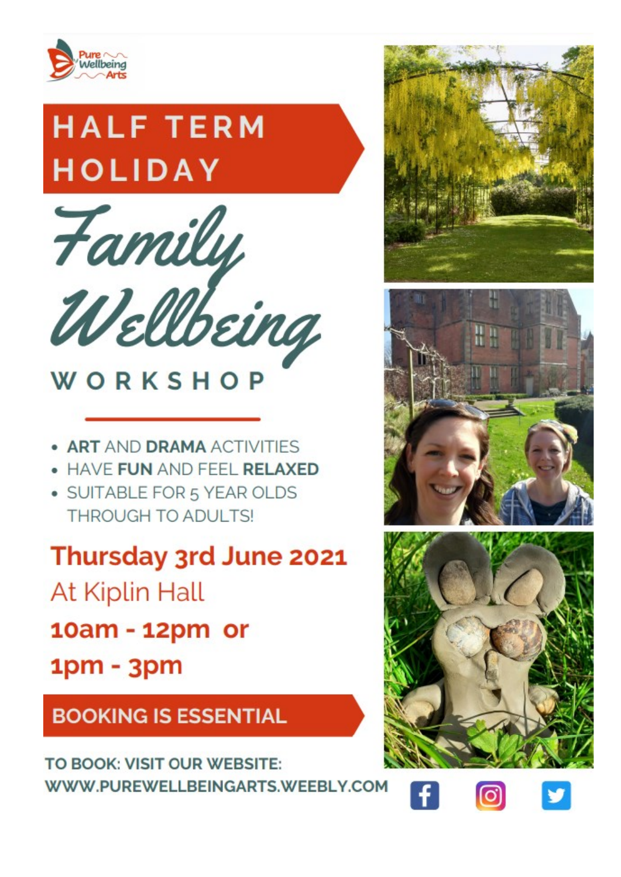

# **HALF TERM HOLIDAY**



## WORKSHOP

- ART AND DRAMA ACTIVITIES
- HAVE FUN AND FEEL RELAXED
- · SUITABLE FOR 5 YEAR OLDS **THROUGH TO ADULTS!**

# Thursday 3rd June 2021 At Kiplin Hall 10am - 12pm or  $1pm - 3pm$

### **BOOKING IS ESSENTIAL**

TO BOOK: VISIT OUR WEBSITE: WWW.PUREWELLBEINGARTS.WEEBLY.COM